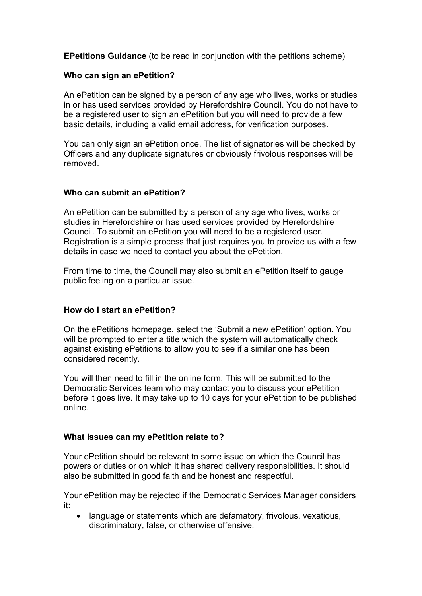**EPetitions Guidance** (to be read in conjunction with the petitions scheme)

### **Who can sign an ePetition?**

An ePetition can be signed by a person of any age who lives, works or studies in or has used services provided by Herefordshire Council. You do not have to be a registered user to sign an ePetition but you will need to provide a few basic details, including a valid email address, for verification purposes.

You can only sign an ePetition once. The list of signatories will be checked by Officers and any duplicate signatures or obviously frivolous responses will be removed.

### **Who can submit an ePetition?**

An ePetition can be submitted by a person of any age who lives, works or studies in Herefordshire or has used services provided by Herefordshire Council. To submit an ePetition you will need to be a registered user. Registration is a simple process that just requires you to provide us with a few details in case we need to contact you about the ePetition.

From time to time, the Council may also submit an ePetition itself to gauge public feeling on a particular issue.

### **How do I start an ePetition?**

On the ePetitions homepage, select the 'Submit a new ePetition' option. You will be prompted to enter a title which the system will automatically check against existing ePetitions to allow you to see if a similar one has been considered recently.

You will then need to fill in the online form. This will be submitted to the Democratic Services team who may contact you to discuss your ePetition before it goes live. It may take up to 10 days for your ePetition to be published online.

### **What issues can my ePetition relate to?**

Your ePetition should be relevant to some issue on which the Council has powers or duties or on which it has shared delivery responsibilities. It should also be submitted in good faith and be honest and respectful.

Your ePetition may be rejected if the Democratic Services Manager considers it:

 language or statements which are defamatory, frivolous, vexatious, discriminatory, false, or otherwise offensive;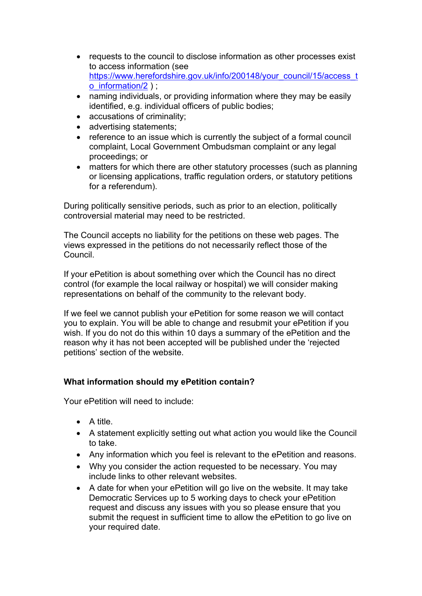- requests to the council to disclose information as other processes exist to access information (see [https://www.herefordshire.gov.uk/info/200148/your\\_council/15/access\\_t](https://www.herefordshire.gov.uk/info/200148/your_council/15/access_to_information/2) [o\\_information/2](https://www.herefordshire.gov.uk/info/200148/your_council/15/access_to_information/2) ) ;
- naming individuals, or providing information where they may be easily identified, e.g. individual officers of public bodies;
- accusations of criminality;
- advertising statements;
- reference to an issue which is currently the subject of a formal council complaint, Local Government Ombudsman complaint or any legal proceedings; or
- matters for which there are other statutory processes (such as planning or licensing applications, traffic regulation orders, or statutory petitions for a referendum).

During politically sensitive periods, such as prior to an election, politically controversial material may need to be restricted.

The Council accepts no liability for the petitions on these web pages. The views expressed in the petitions do not necessarily reflect those of the Council.

If your ePetition is about something over which the Council has no direct control (for example the local railway or hospital) we will consider making representations on behalf of the community to the relevant body.

If we feel we cannot publish your ePetition for some reason we will contact you to explain. You will be able to change and resubmit your ePetition if you wish. If you do not do this within 10 days a summary of the ePetition and the reason why it has not been accepted will be published under the 'rejected petitions' section of the website.

# **What information should my ePetition contain?**

Your ePetition will need to include:

- $\bullet$  A title.
- A statement explicitly setting out what action you would like the Council to take.
- Any information which you feel is relevant to the ePetition and reasons.
- Why you consider the action requested to be necessary. You may include links to other relevant websites.
- A date for when your ePetition will go live on the website. It may take Democratic Services up to 5 working days to check your ePetition request and discuss any issues with you so please ensure that you submit the request in sufficient time to allow the ePetition to go live on your required date.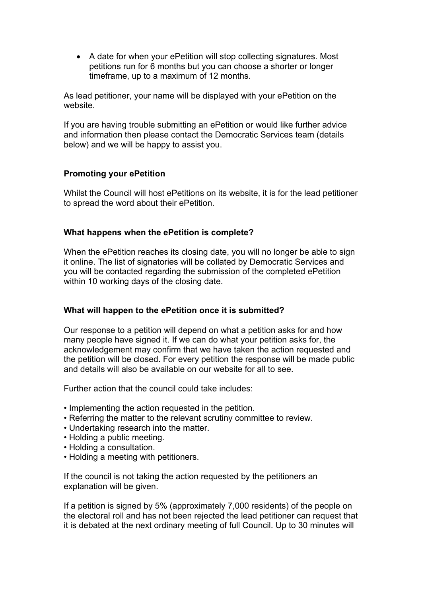• A date for when your ePetition will stop collecting signatures. Most petitions run for 6 months but you can choose a shorter or longer timeframe, up to a maximum of 12 months.

As lead petitioner, your name will be displayed with your ePetition on the website.

If you are having trouble submitting an ePetition or would like further advice and information then please contact the Democratic Services team (details below) and we will be happy to assist you.

## **Promoting your ePetition**

Whilst the Council will host ePetitions on its website, it is for the lead petitioner to spread the word about their ePetition.

### **What happens when the ePetition is complete?**

When the ePetition reaches its closing date, you will no longer be able to sign it online. The list of signatories will be collated by Democratic Services and you will be contacted regarding the submission of the completed ePetition within 10 working days of the closing date.

### **What will happen to the ePetition once it is submitted?**

Our response to a petition will depend on what a petition asks for and how many people have signed it. If we can do what your petition asks for, the acknowledgement may confirm that we have taken the action requested and the petition will be closed. For every petition the response will be made public and details will also be available on our website for all to see.

Further action that the council could take includes:

- Implementing the action requested in the petition.
- Referring the matter to the relevant scrutiny committee to review.
- Undertaking research into the matter.
- Holding a public meeting.
- Holding a consultation.
- Holding a meeting with petitioners.

If the council is not taking the action requested by the petitioners an explanation will be given.

If a petition is signed by 5% (approximately 7,000 residents) of the people on the electoral roll and has not been rejected the lead petitioner can request that it is debated at the next ordinary meeting of full Council. Up to 30 minutes will